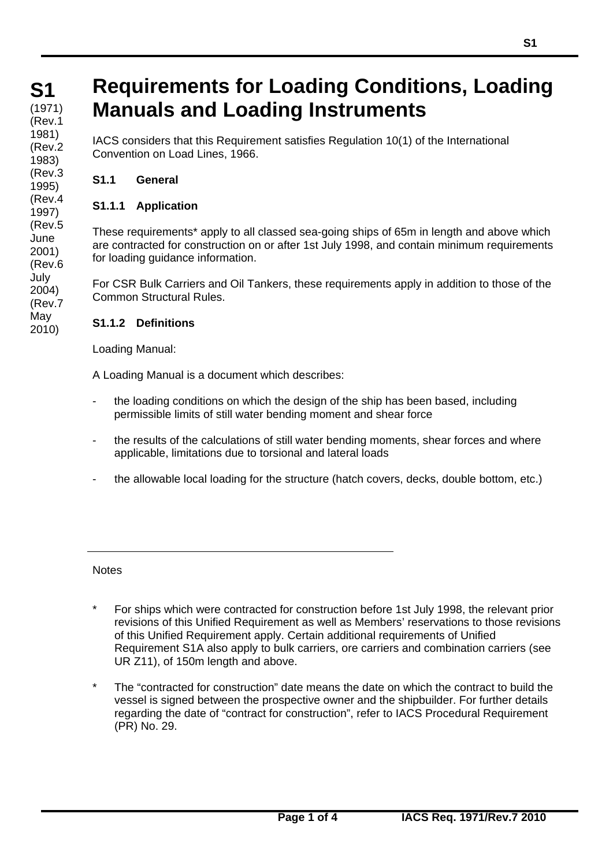# **Requirements for Loading Conditions, Loading Manuals and Loading Instruments**

IACS considers that this Requirement satisfies Regulation 10(1) of the International Convention on Load Lines, 1966.

# **S1.1 General**

# **S1.1.1 Application**

These requirements\* apply to all classed sea-going ships of 65m in length and above which are contracted for construction on or after 1st July 1998, and contain minimum requirements for loading guidance information.

For CSR Bulk Carriers and Oil Tankers, these requirements apply in addition to those of the Common Structural Rules.

### **S1.1.2 Definitions**

Loading Manual:

A Loading Manual is a document which describes:

- the loading conditions on which the design of the ship has been based, including permissible limits of still water bending moment and shear force
- the results of the calculations of still water bending moments, shear forces and where applicable, limitations due to torsional and lateral loads
- the allowable local loading for the structure (hatch covers, decks, double bottom, etc.)

**Notes** 

 $\overline{a}$ 

- For ships which were contracted for construction before 1st July 1998, the relevant prior revisions of this Unified Requirement as well as Members' reservations to those revisions of this Unified Requirement apply. Certain additional requirements of Unified Requirement S1A also apply to bulk carriers, ore carriers and combination carriers (see UR Z11), of 150m length and above.
- The "contracted for construction" date means the date on which the contract to build the vessel is signed between the prospective owner and the shipbuilder. For further details regarding the date of "contract for construction", refer to IACS Procedural Requirement (PR) No. 29.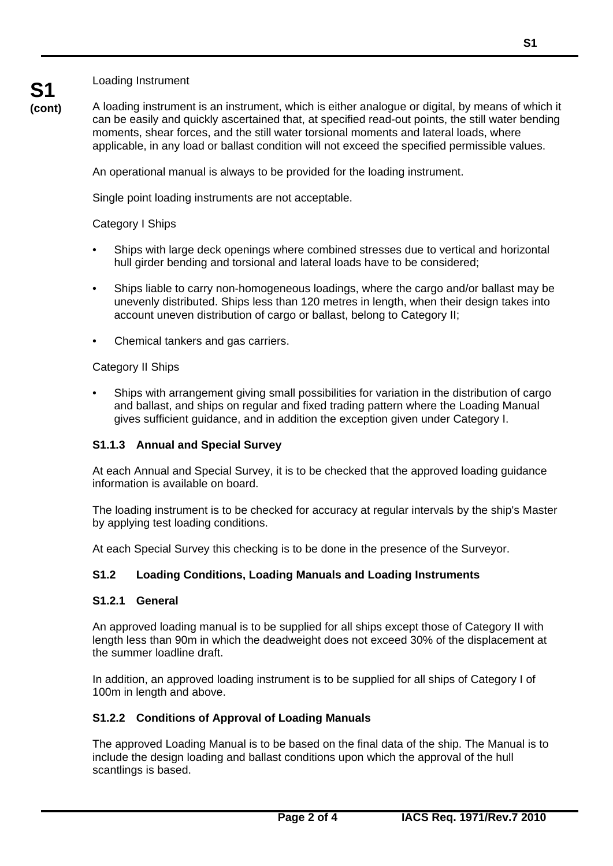Loading Instrument

**S1** 

**(cont)** A loading instrument is an instrument, which is either analogue or digital, by means of which it can be easily and quickly ascertained that, at specified read-out points, the still water bending moments, shear forces, and the still water torsional moments and lateral loads, where applicable, in any load or ballast condition will not exceed the specified permissible values.

An operational manual is always to be provided for the loading instrument.

Single point loading instruments are not acceptable.

#### Category I Ships

- Ships with large deck openings where combined stresses due to vertical and horizontal hull girder bending and torsional and lateral loads have to be considered;
- Ships liable to carry non-homogeneous loadings, where the cargo and/or ballast may be unevenly distributed. Ships less than 120 metres in length, when their design takes into account uneven distribution of cargo or ballast, belong to Category II;
- Chemical tankers and gas carriers.

#### Category II Ships

• Ships with arrangement giving small possibilities for variation in the distribution of cargo and ballast, and ships on regular and fixed trading pattern where the Loading Manual gives sufficient guidance, and in addition the exception given under Category I.

### **S1.1.3 Annual and Special Survey**

At each Annual and Special Survey, it is to be checked that the approved loading guidance information is available on board.

The loading instrument is to be checked for accuracy at regular intervals by the ship's Master by applying test loading conditions.

At each Special Survey this checking is to be done in the presence of the Surveyor.

### **S1.2 Loading Conditions, Loading Manuals and Loading Instruments**

#### **S1.2.1 General**

 $\overline{a}$ 

An approved loading manual is to be supplied for all ships except those of Category II with length less than 90m in which the deadweight does not exceed 30% of the displacement at the summer loadline draft.

In addition, an approved loading instrument is to be supplied for all ships of Category I of 100m in length and above.

#### **S1.2.2 Conditions of Approval of Loading Manuals**

The approved Loading Manual is to be based on the final data of the ship. The Manual is to include the design loading and ballast conditions upon which the approval of the hull scantlings is based.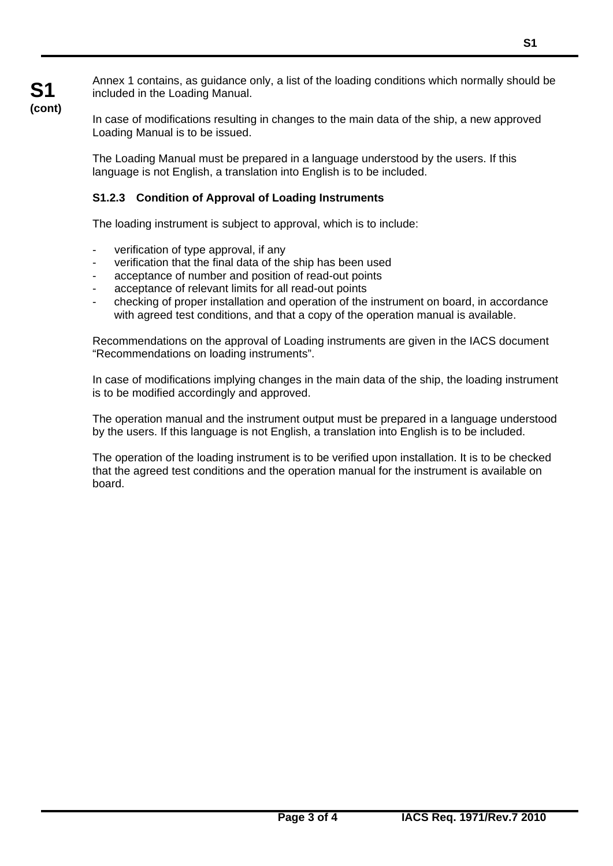Annex 1 contains, as guidance only, a list of the loading conditions which normally should be included in the Loading Manual.

In case of modifications resulting in changes to the main data of the ship, a new approved Loading Manual is to be issued.

The Loading Manual must be prepared in a language understood by the users. If this language is not English, a translation into English is to be included.

## **S1.2.3 Condition of Approval of Loading Instruments**

The loading instrument is subject to approval, which is to include:

- verification of type approval, if any

**S1 (cont)**

 $\overline{a}$ 

- verification that the final data of the ship has been used
- acceptance of number and position of read-out points
- acceptance of relevant limits for all read-out points
- checking of proper installation and operation of the instrument on board, in accordance with agreed test conditions, and that a copy of the operation manual is available.

Recommendations on the approval of Loading instruments are given in the IACS document "Recommendations on loading instruments".

In case of modifications implying changes in the main data of the ship, the loading instrument is to be modified accordingly and approved.

The operation manual and the instrument output must be prepared in a language understood by the users. If this language is not English, a translation into English is to be included.

The operation of the loading instrument is to be verified upon installation. It is to be checked that the agreed test conditions and the operation manual for the instrument is available on board.